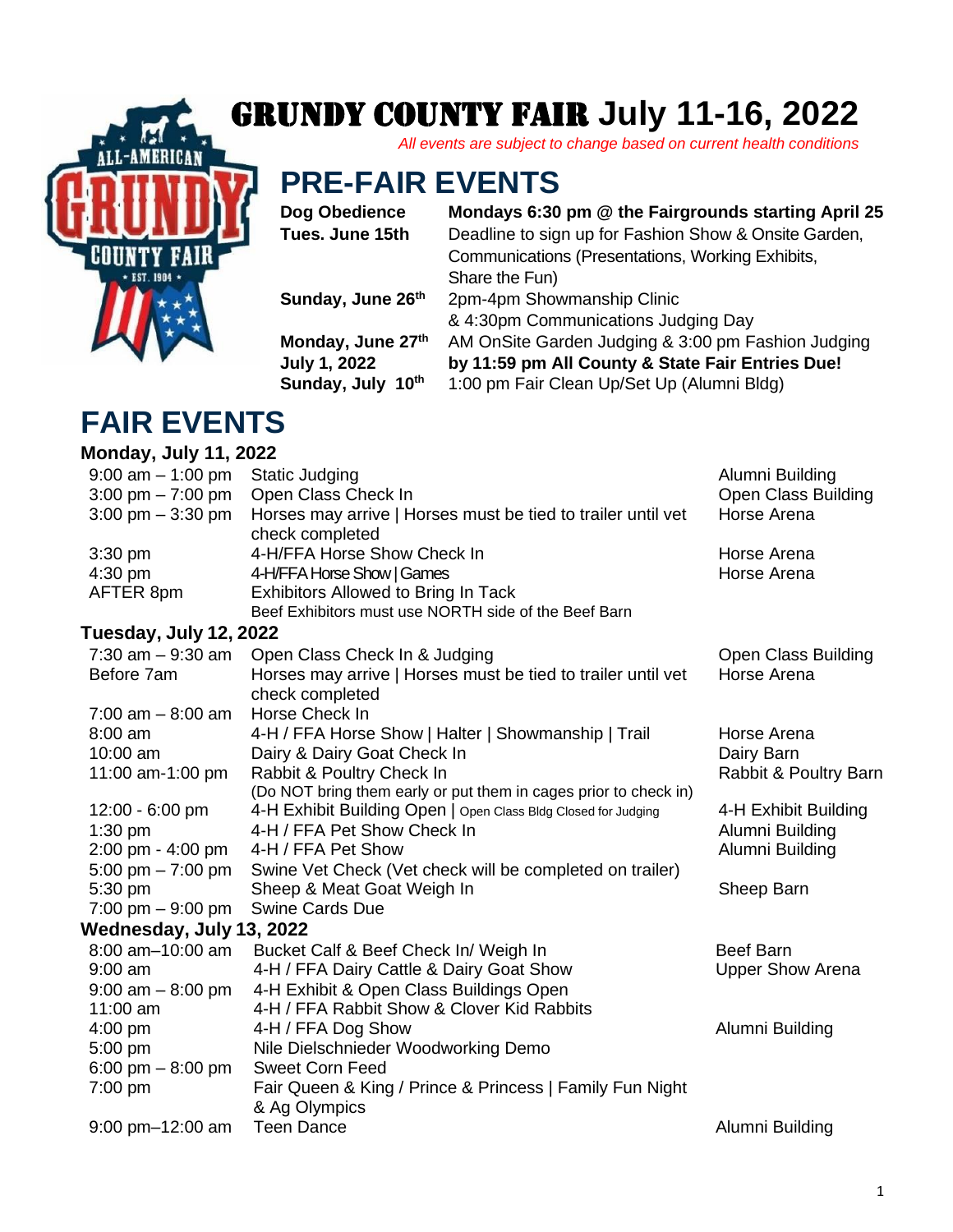# Grundy County Fair **July 11-16, 2022**

*All events are subject to change based on current health conditions*

## **PRE-FAIR EVENTS**

**Sunday, July 10**

#### **Dog Obedience Mondays 6:30 pm @ the Fairgrounds starting April 25**

**Tues. June 15th** Deadline to sign up for Fashion Show & Onsite Garden, Communications (Presentations, Working Exhibits, Share the Fun) **Sunday, June 26th** 2pm-4pm Showmanship Clinic & 4:30pm Communications Judging Day **Monday, June 27th** AM OnSite Garden Judging & 3:00 pm Fashion Judging **July 1, 2022 by 11:59 pm All County & State Fair Entries Due!**

**th** 1:00 pm Fair Clean Up/Set Up (Alumni Bldg)

### **FAIR EVENTS**

**Monday, July 11, 2022**  9:00 am – 1:00 pm Static Judging Alumni Building Alumni Building 3:00 pm – 7:00 pm Open Class Check In Open Class Building 3:00 pm – 3:30 pm Horses may arrive | Horses must be tied to trailer until vet check completed Horse Arena 3:30 pm 4-H/FFA Horse Show Check In Horse Arena 4:30 pm  $4$ -H/FFA Horse Show | Games Arena Horse Arena AFTER 8pm Exhibitors Allowed to Bring In Tack Beef Exhibitors must use NORTH side of the Beef Barn **Tuesday, July 12, 2022** 7:30 am – 9:30 am Open Class Check In & Judging Changell Channel Check Down Class Building Before 7am Horses may arrive | Horses must be tied to trailer until vet check completed Horse Arena 7:00 am – 8:00 am Horse Check In 8:00 am  $4-H / FFA$  Horse Show | Halter | Showmanship | Trail Horse Arena 10:00 am Dairy & Dairy Goat Check In Dairy Barn Dairy Barn 11:00 am-1:00 pm Rabbit & Poultry Check In (Do NOT bring them early or put them in cages prior to check in) Rabbit & Poultry Barn 12:00 - 6:00 pm 4-H Exhibit Building Open | Open Class Bldg Closed for Judging 4-H Exhibit Building 1:30 pm 4-H / FFA Pet Show Check In Alumni Building 2:00 pm - 4:00 pm 4-H / FFA Pet Show Alumni Building 5:00 pm – 7:00 pm Swine Vet Check (Vet check will be completed on trailer) 5:30 pm Sheep & Meat Goat Weigh In Sheep Barn Sheep Barn 7:00 pm – 9:00 pm Swine Cards Due **Wednesday, July 13, 2022** 8:00 am–10:00 am Bucket Calf & Beef Check In/ Weigh In Beef Barn 9:00 am 4-H / FFA Dairy Cattle & Dairy Goat Show Upper Show Arena 9:00 am – 8:00 pm 4-H Exhibit & Open Class Buildings Open 11:00 am 4-H / FFA Rabbit Show & Clover Kid Rabbits 4:00 pm 4-H / FFA Dog Show Alumni Building 5:00 pm Nile Dielschnieder Woodworking Demo 6:00 pm – 8:00 pm Sweet Corn Feed 7:00 pm Fair Queen & King / Prince & Princess | Family Fun Night & Ag Olympics 9:00 pm–12:00 am Teen Dance Alumni Building